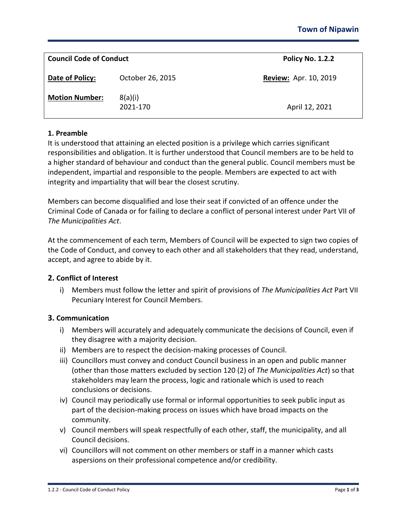| <b>Council Code of Conduct</b> |                     | <b>Policy No. 1.2.2</b>      |
|--------------------------------|---------------------|------------------------------|
| Date of Policy:                | October 26, 2015    | <b>Review: Apr. 10, 2019</b> |
| <b>Motion Number:</b>          | 8(a)(i)<br>2021-170 | April 12, 2021               |

# **1. Preamble**

It is understood that attaining an elected position is a privilege which carries significant responsibilities and obligation. It is further understood that Council members are to be held to a higher standard of behaviour and conduct than the general public. Council members must be independent, impartial and responsible to the people. Members are expected to act with integrity and impartiality that will bear the closest scrutiny.

Members can become disqualified and lose their seat if convicted of an offence under the Criminal Code of Canada or for failing to declare a conflict of personal interest under Part VII of *The Municipalities Act*.

At the commencement of each term, Members of Council will be expected to sign two copies of the Code of Conduct, and convey to each other and all stakeholders that they read, understand, accept, and agree to abide by it.

### **2. Conflict of Interest**

i) Members must follow the letter and spirit of provisions of *The Municipalities Act* Part VII Pecuniary Interest for Council Members.

### **3. Communication**

- i) Members will accurately and adequately communicate the decisions of Council, even if they disagree with a majority decision.
- ii) Members are to respect the decision-making processes of Council.
- iii) Councillors must convey and conduct Council business in an open and public manner (other than those matters excluded by section 120 (2) of *The Municipalities Act*) so that stakeholders may learn the process, logic and rationale which is used to reach conclusions or decisions.
- iv) Council may periodically use formal or informal opportunities to seek public input as part of the decision-making process on issues which have broad impacts on the community.
- v) Council members will speak respectfully of each other, staff, the municipality, and all Council decisions.
- vi) Councillors will not comment on other members or staff in a manner which casts aspersions on their professional competence and/or credibility.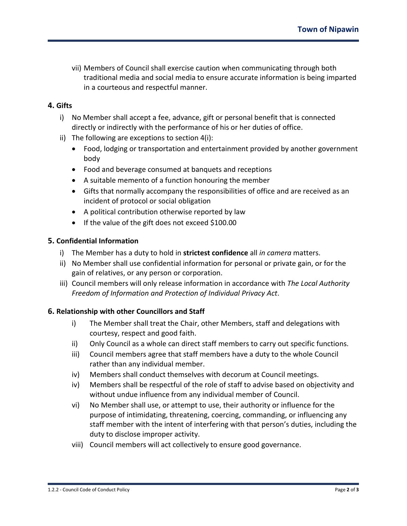vii) Members of Council shall exercise caution when communicating through both traditional media and social media to ensure accurate information is being imparted in a courteous and respectful manner.

# **4. Gifts**

- i) No Member shall accept a fee, advance, gift or personal benefit that is connected directly or indirectly with the performance of his or her duties of office.
- ii) The following are exceptions to section 4(i):
	- Food, lodging or transportation and entertainment provided by another government body
	- Food and beverage consumed at banquets and receptions
	- A suitable memento of a function honouring the member
	- Gifts that normally accompany the responsibilities of office and are received as an incident of protocol or social obligation
	- A political contribution otherwise reported by law
	- If the value of the gift does not exceed \$100.00

### **5. Confidential Information**

- i) The Member has a duty to hold in **strictest confidence** all *in camera* matters.
- ii) No Member shall use confidential information for personal or private gain, or for the gain of relatives, or any person or corporation.
- iii) Council members will only release information in accordance with *The Local Authority Freedom of Information and Protection of Individual Privacy Act*.

### **6. Relationship with other Councillors and Staff**

- i) The Member shall treat the Chair, other Members, staff and delegations with courtesy, respect and good faith.
- ii) Only Council as a whole can direct staff members to carry out specific functions.
- iii) Council members agree that staff members have a duty to the whole Council rather than any individual member.
- iv) Members shall conduct themselves with decorum at Council meetings.
- iv) Members shall be respectful of the role of staff to advise based on objectivity and without undue influence from any individual member of Council.
- vi) No Member shall use, or attempt to use, their authority or influence for the purpose of intimidating, threatening, coercing, commanding, or influencing any staff member with the intent of interfering with that person's duties, including the duty to disclose improper activity.
- viii) Council members will act collectively to ensure good governance.